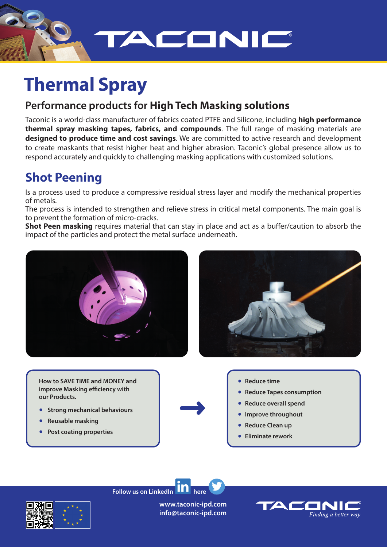

# **Thermal Spray**

## **Performance products for High Tech Masking solutions**

Taconic is a world-class manufacturer of fabrics coated PTFE and Silicone, including **high performance thermal spray masking tapes, fabrics, and compounds**. The full range of masking materials are **designed to produce time and cost savings**. We are committed to active research and development to create maskants that resist higher heat and higher abrasion. Taconic's global presence allow us to respond accurately and quickly to challenging masking applications with customized solutions.

## **Shot Peening**

Is a process used to produce a compressive residual stress layer and modify the mechanical properties of metals.

The process is intended to strengthen and relieve stress in critical metal components. The main goal is to prevent the formation of micro-cracks.

**Shot Peen masking** requires material that can stay in place and act as a buffer/caution to absorb the impact of the particles and protect the metal surface underneath.





**How to SAVE TIME and MONEY and improve Masking efficiency with our Products.**

- **Strong mechanical behaviours**
- ● **Reusable masking**
- **Post coating properties**
- **Reduce time**
- **Reduce Tapes consumption**
- **Reduce overall spend**
- **Improve throughout**
- **Reduce Clean up**
- **Eliminate rework**

**Follow us on LinkedIn**  $\textbf{H}$  **H** here



**www.taconic-ipd.com info@taconic-ipd.com**